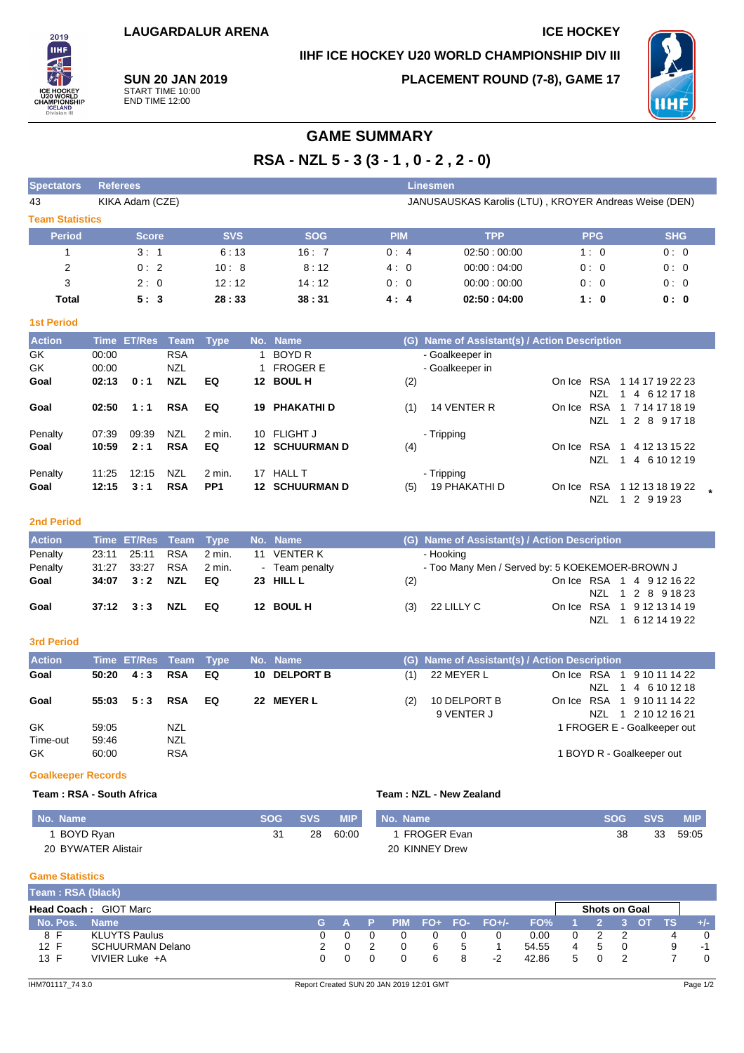# **IIHF ICE HOCKEY U20 WORLD CHAMPIONSHIP DIV III**

2019 **THE** 

**SUN 20 JAN 2019** START TIME 10:00 END TIME 12:00

**PLACEMENT ROUND (7-8), GAME 17**



# **GAME SUMMARY**

**RSA - NZL 5 - 3 (3 - 1 , 0 - 2 , 2 - 0)**

| <b>Spectators</b>      | <b>Referees</b><br>Linesmen                                              |            |            |            |             |            |            |  |  |  |  |  |
|------------------------|--------------------------------------------------------------------------|------------|------------|------------|-------------|------------|------------|--|--|--|--|--|
| 43                     | JANUSAUSKAS Karolis (LTU), KROYER Andreas Weise (DEN)<br>KIKA Adam (CZE) |            |            |            |             |            |            |  |  |  |  |  |
| <b>Team Statistics</b> |                                                                          |            |            |            |             |            |            |  |  |  |  |  |
| <b>Period</b>          | <b>Score</b>                                                             | <b>SVS</b> | <b>SOG</b> | <b>PIM</b> | <b>TPP</b>  | <b>PPG</b> | <b>SHG</b> |  |  |  |  |  |
|                        | 3:1                                                                      | 6:13       | 16:7       | 0:4        | 02:50:00:00 | 1:0        | 0:0        |  |  |  |  |  |
| 2                      | 0:2                                                                      | 10:8       | 8:12       | 4:0        | 00:00:04:00 | 0:0        | 0:0        |  |  |  |  |  |
| 3                      | 2:0                                                                      | 12:12      | 14:12      | 0:0        | 00:00:00:00 | 0:0        | 0:0        |  |  |  |  |  |
| Total                  | 5:3                                                                      | 28:33      | 38:31      | 4:4        | 02:50:04:00 | 1:0        | 0: 0       |  |  |  |  |  |

#### **1st Period**

| <b>Action</b> |       | Time ET/Res | Team       | <b>Type</b>     |    | No. Name              |     | (G) Name of Assistant(s) / Action Description |        |            |                     |  |
|---------------|-------|-------------|------------|-----------------|----|-----------------------|-----|-----------------------------------------------|--------|------------|---------------------|--|
| GK.           | 00:00 |             | <b>RSA</b> |                 |    | BOYD R                |     | - Goalkeeper in                               |        |            |                     |  |
| GK            | 00:00 |             | <b>NZL</b> |                 |    | <b>FROGER E</b>       |     | - Goalkeeper in                               |        |            |                     |  |
| Goal          | 02:13 | 0:1         | <b>NZL</b> | EQ              |    | 12 BOUL H             | (2) |                                               | On Ice | RSA        | 1 14 17 19 22 23    |  |
|               |       |             |            |                 |    |                       |     |                                               |        | NZL        | 4 6 12 17 18        |  |
| Goal          | 02:50 | 1:1         | <b>RSA</b> | EQ              | 19 | <b>PHAKATHI D</b>     | (1) | 14 VENTER R                                   | On Ice |            | RSA 1 7 14 17 18 19 |  |
|               |       |             |            |                 |    |                       |     |                                               |        | NZL        | 1 2 8 9 17 18       |  |
| Penalty       | 07:39 | 09:39       | <b>NZL</b> | 2 min.          | 10 | <b>FLIGHT J</b>       |     | - Tripping                                    |        |            |                     |  |
| Goal          | 10:59 | 2:1         | <b>RSA</b> | EQ              |    | <b>12 SCHUURMAN D</b> | (4) |                                               | On Ice | <b>RSA</b> | 4 12 13 15 22       |  |
|               |       |             |            |                 |    |                       |     |                                               |        | NZL.       | 4 6 10 12 19        |  |
| Penalty       | 11:25 | 12:15       | <b>NZL</b> | 2 min.          | 17 | <b>HALL T</b>         |     | - Tripping                                    |        |            |                     |  |
| Goal          | 12:15 | 3:1         | <b>RSA</b> | PP <sub>1</sub> |    | <b>12 SCHUURMAN D</b> | (5) | 19 PHAKATHI D                                 | On Ice | <b>RSA</b> | 1 12 13 18 19 22    |  |
|               |       |             |            |                 |    |                       |     |                                               |        | NZL        | 1 2 9 19 23         |  |

#### **2nd Period**

| <b>Action</b> |       |                   |            | Time ET/Res Team Type No. Name |                |     | (G) Name of Assistant(s) / Action Description   |  |
|---------------|-------|-------------------|------------|--------------------------------|----------------|-----|-------------------------------------------------|--|
| Penalty       |       | 23:11 25:11       | <b>RSA</b> | 2 min.                         | 11 VENTER K    |     | - Hooking                                       |  |
| Penalty       | 31:27 | 33.27             | RSA        | 2 min.                         | - Team penalty |     | - Too Many Men / Served by: 5 KOEKEMOER-BROWN J |  |
| Goal          |       | $34:07 \quad 3:2$ | NZL        | EQ.                            | 23 HILL L      | (2) | On Ice RSA 1 4 9 12 16 22                       |  |
|               |       |                   |            |                                |                |     | NZL 1 2 8 9 18 23                               |  |
| Goal          |       |                   |            | EQ                             | 12 BOUL H      | (3) | 22 LILLY C<br>On Ice RSA 1 9 12 13 14 19        |  |
|               |       |                   |            |                                |                |     | NZL 1 6 12 14 19 22                             |  |

#### **3rd Period**

| <b>Action</b>  |                | Time ET/Res Team Type |            |    | No. Name     |     | (G) Name of Assistant(s) / Action Description |                                                        |
|----------------|----------------|-----------------------|------------|----|--------------|-----|-----------------------------------------------|--------------------------------------------------------|
| Goal           | 50:20          | 4.3                   | <b>RSA</b> | EQ | 10 DELPORT B | (1) | 22 MEYER L                                    | 1 9 10 11 14 22<br>On Ice RSA<br>1 4 6 10 12 18<br>NZL |
| Goal           | 55:03          | 5:3                   | <b>RSA</b> | EQ | 22 MEYER L   | (2) | 10 DELPORT B<br>9 VENTER J                    | On Ice RSA 1 9 10 11 14 22<br>1 2 10 12 16 21<br>N7L   |
| GK<br>Time-out | 59:05<br>59:46 |                       | NZL<br>NZL |    |              |     |                                               | 1 FROGER E - Goalkeeper out                            |
| GK             | 60:00          |                       | <b>RSA</b> |    |              |     |                                               | 1 BOYD R - Goalkeeper out                              |

### **Goalkeeper Records**

### **Team : RSA - South Africa Team : NZL - New Zealand**

| No. Name            | <b>SOG</b> | <b>SVS</b> | <b>MIP</b> | No. Name       | <b>SOG</b> | SVS. | <b>MIP</b> |
|---------------------|------------|------------|------------|----------------|------------|------|------------|
| BOYD Ryan           | 31         | 28         | 60:00      | 1 FROGER Evan  | 38         | 33   | 59:05      |
| 20 BYWATER Alistair |            |            |            | 20 KINNEY Drew |            |      |            |

#### **Game Statistics**

| Team: RSA (black)                                    |                         |            |         |  |  |          |  |                     |       |   |  |           |  |
|------------------------------------------------------|-------------------------|------------|---------|--|--|----------|--|---------------------|-------|---|--|-----------|--|
| <b>Head Coach: GIOT Marc</b><br><b>Shots on Goal</b> |                         |            |         |  |  |          |  |                     |       |   |  |           |  |
| No. Pos.                                             | <b>Name</b>             |            | LG A P' |  |  |          |  | $PIM$ FO+ FO- FO+/- | FO%   |   |  | <b>TS</b> |  |
| 8 F                                                  | <b>KLUYTS Paulus</b>    | $^{\circ}$ |         |  |  | 0        |  |                     | 0.00  |   |  |           |  |
| 12 F                                                 | <b>SCHUURMAN Delano</b> |            |         |  |  | 6        |  |                     | 54.55 | 5 |  |           |  |
| 13 F                                                 | VIVIER Luke +A          |            |         |  |  | <b>6</b> |  | -2                  | 42.86 |   |  |           |  |